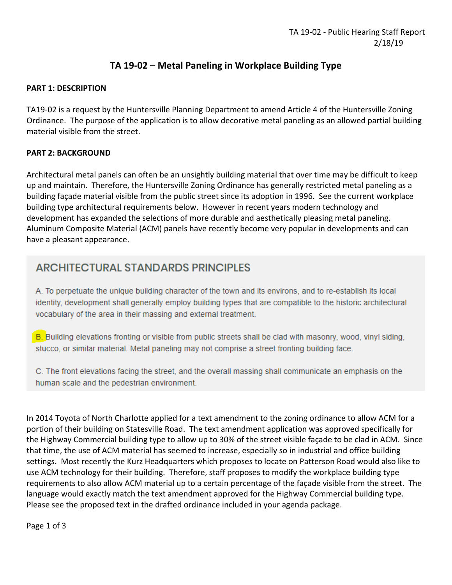# **TA 19-02 – Metal Paneling in Workplace Building Type**

#### **PART 1: DESCRIPTION**

TA19-02 is a request by the Huntersville Planning Department to amend Article 4 of the Huntersville Zoning Ordinance. The purpose of the application is to allow decorative metal paneling as an allowed partial building material visible from the street.

# **PART 2: BACKGROUND**

Architectural metal panels can often be an unsightly building material that over time may be difficult to keep up and maintain. Therefore, the Huntersville Zoning Ordinance has generally restricted metal paneling as a building façade material visible from the public street since its adoption in 1996. See the current workplace building type architectural requirements below. However in recent years modern technology and development has expanded the selections of more durable and aesthetically pleasing metal paneling. Aluminum Composite Material (ACM) panels have recently become very popular in developments and can have a pleasant appearance.

# **ARCHITECTURAL STANDARDS PRINCIPLES**

A. To perpetuate the unique building character of the town and its environs, and to re-establish its local identity, development shall generally employ building types that are compatible to the historic architectural vocabulary of the area in their massing and external treatment.

B. Building elevations fronting or visible from public streets shall be clad with masonry, wood, vinyl siding, stucco, or similar material. Metal paneling may not comprise a street fronting building face.

C. The front elevations facing the street, and the overall massing shall communicate an emphasis on the human scale and the pedestrian environment.

In 2014 Toyota of North Charlotte applied for a text amendment to the zoning ordinance to allow ACM for a portion of their building on Statesville Road. The text amendment application was approved specifically for the Highway Commercial building type to allow up to 30% of the street visible façade to be clad in ACM. Since that time, the use of ACM material has seemed to increase, especially so in industrial and office building settings. Most recently the Kurz Headquarters which proposes to locate on Patterson Road would also like to use ACM technology for their building. Therefore, staff proposes to modify the workplace building type requirements to also allow ACM material up to a certain percentage of the façade visible from the street. The language would exactly match the text amendment approved for the Highway Commercial building type. Please see the proposed text in the drafted ordinance included in your agenda package.

Page 1 of 3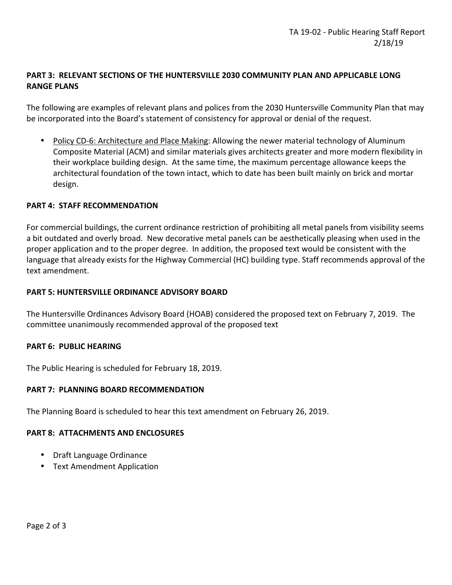## **PART 3: RELEVANT SECTIONS OF THE HUNTERSVILLE 2030 COMMUNITY PLAN AND APPLICABLE LONG RANGE PLANS**

The following are examples of relevant plans and polices from the 2030 Huntersville Community Plan that may be incorporated into the Board's statement of consistency for approval or denial of the request.

• Policy CD-6: Architecture and Place Making: Allowing the newer material technology of Aluminum Composite Material (ACM) and similar materials gives architects greater and more modern flexibility in their workplace building design. At the same time, the maximum percentage allowance keeps the architectural foundation of the town intact, which to date has been built mainly on brick and mortar design.

## **PART 4: STAFF RECOMMENDATION**

For commercial buildings, the current ordinance restriction of prohibiting all metal panels from visibility seems a bit outdated and overly broad. New decorative metal panels can be aesthetically pleasing when used in the proper application and to the proper degree. In addition, the proposed text would be consistent with the language that already exists for the Highway Commercial (HC) building type. Staff recommends approval of the text amendment.

#### **PART 5: HUNTERSVILLE ORDINANCE ADVISORY BOARD**

The Huntersville Ordinances Advisory Board (HOAB) considered the proposed text on February 7, 2019. The committee unanimously recommended approval of the proposed text

#### **PART 6: PUBLIC HEARING**

The Public Hearing is scheduled for February 18, 2019.

#### **PART 7: PLANNING BOARD RECOMMENDATION**

The Planning Board is scheduled to hear this text amendment on February 26, 2019.

#### **PART 8: ATTACHMENTS AND ENCLOSURES**

- Draft Language Ordinance
- Text Amendment Application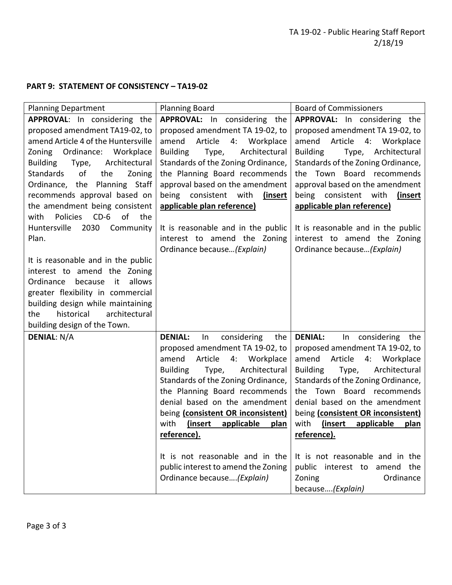# **PART 9: STATEMENT OF CONSISTENCY – TA19-02**

| <b>Planning Department</b>                                                                                                                                                                                                                                                                                                                                                                                                                                                                                                                                                                                                                                                          | <b>Planning Board</b>                                                                                                                                                                                                                                                                                                                                                                                                                                                              | <b>Board of Commissioners</b>                                                                                                                                                                                                                                                                                                                                                                                                                                                  |
|-------------------------------------------------------------------------------------------------------------------------------------------------------------------------------------------------------------------------------------------------------------------------------------------------------------------------------------------------------------------------------------------------------------------------------------------------------------------------------------------------------------------------------------------------------------------------------------------------------------------------------------------------------------------------------------|------------------------------------------------------------------------------------------------------------------------------------------------------------------------------------------------------------------------------------------------------------------------------------------------------------------------------------------------------------------------------------------------------------------------------------------------------------------------------------|--------------------------------------------------------------------------------------------------------------------------------------------------------------------------------------------------------------------------------------------------------------------------------------------------------------------------------------------------------------------------------------------------------------------------------------------------------------------------------|
| APPROVAL: In considering the<br>proposed amendment TA19-02, to<br>amend Article 4 of the Huntersville<br>Zoning Ordinance: Workplace<br><b>Building</b><br>Type,<br>Architectural<br><b>Standards</b><br>of<br>the<br>Zoning<br>Ordinance, the Planning Staff<br>recommends approval based on<br>the amendment being consistent<br>Policies<br>$CD-6$<br>of<br>the<br>with<br>Huntersville<br>2030 Community<br>Plan.<br>It is reasonable and in the public<br>interest to amend the Zoning<br>allows<br>Ordinance<br>because<br>it<br>greater flexibility in commercial<br>building design while maintaining<br>historical<br>architectural<br>the<br>building design of the Town. | <b>APPROVAL:</b> In considering the<br>proposed amendment TA 19-02, to<br>amend<br>Article<br>4:<br>Workplace<br><b>Building</b><br>Architectural<br>Type,<br>Standards of the Zoning Ordinance,<br>the Planning Board recommends<br>approval based on the amendment<br>being consistent with<br>(insert<br>applicable plan reference)<br>It is reasonable and in the public<br>interest to amend the Zoning<br>Ordinance because (Explain)                                        | APPROVAL: In considering the<br>proposed amendment TA 19-02, to<br>Article<br>4: Workplace<br>amend<br><b>Building</b><br>Type, Architectural<br>Standards of the Zoning Ordinance,<br>the Town Board recommends<br>approval based on the amendment<br>being consistent with<br>(insert<br>applicable plan reference)<br>It is reasonable and in the public<br>interest to amend the Zoning<br>Ordinance because (Explain)                                                     |
| <b>DENIAL: N/A</b>                                                                                                                                                                                                                                                                                                                                                                                                                                                                                                                                                                                                                                                                  | <b>DENIAL:</b><br>considering<br>$\ln$<br>the<br>proposed amendment TA 19-02, to<br>amend<br>Article<br>4:<br>Workplace<br>Architectural<br><b>Building</b><br>Type,<br>Standards of the Zoning Ordinance,<br>the Planning Board recommends<br>denial based on the amendment<br>being (consistent OR inconsistent)<br>with<br>(insert<br>applicable<br>plan<br>reference).<br>It is not reasonable and in the<br>public interest to amend the Zoning<br>Ordinance because(Explain) | <b>DENIAL:</b><br>In considering the<br>proposed amendment TA 19-02, to<br>Article<br>amend<br>4:<br>Workplace<br>Architectural<br><b>Building</b><br>Type,<br>Standards of the Zoning Ordinance,<br>Board recommends<br>the Town<br>denial based on the amendment<br>being (consistent OR inconsistent)<br>with<br>(insert<br>applicable<br>plan<br>reference).<br>It is not reasonable and in the<br>public interest to amend the<br>Ordinance<br>Zoning<br>because(Explain) |